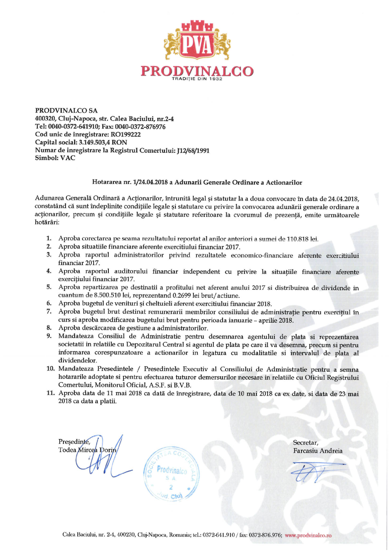

PRODVINALCO SA 400320, Cluj-Napoca, str. Calea Baciului, nr.2-4 Tel: 0040-0372-641910; Fax: 0040-0372-876976 Cod unic de înregistrare: RO199222 Capital social: 3.149.503,4 RON Numar de inregistrare la Registrul Comertului: J12/68/1991 **Simbol: VAC** 

## Hotararea nr. 1/24.04.2018 a Adunarii Generale Ordinare a Actionarilor

Adunarea Generală Ordinară a Acționarilor, întrunită legal și statutar la a doua convocare în data de 24.04.2018. constatând că sunt îndeplinite conditiile legale și statutare cu privire la convocarea adunării generale ordinare a actionarilor, precum si conditiile legale si statutare referitoare la cvorumul de prezență, emite următoarele hotărâri:

- 1. Aproba corectarea pe seama rezultatului reportat al anilor anteriori a sumei de 110.818 lei.
- 2. Aproba situatiile financiare aferente exercitiului financiar 2017.
- 3. Aproba raportul administratorilor privind rezultatele economico-financiare aferente exercitiului financiar 2017.
- Aproba raportul auditorului financiar independent cu privire la situațiile financiare aferente 4. exercițiului financiar 2017.
- Aproba repartizarea pe destinatii a profitului net aferent anului 2017 si distribuirea de dividende in 5. cuantum de 8.500.510 lei, reprezentand 0.2699 lei brut/actiune.
- Aproba bugetul de venituri și cheltuieli aferent exercitiului financiar 2018. 6.
- 7. Aproba bugetul brut destinat remunerarii membrilor consiliului de administrație pentru exercițiul în curs si aproba modificarea bugetului brut pentru perioada ianuarie - aprilie 2018.
- Aproba descărcarea de gestiune a administratorilor. 8.
- 9. Mandateaza Consiliul de Administratie pentru desemnarea agentului de plata si reprezentarea societatii in relatiile cu Depozitarul Central si agentul de plata pe care il va desemna, precum si pentru informarea corespunzatoare a actionarilor in legatura cu modalitatile si intervalul de plata al dividendelor.
- 10. Mandateaza Presedintele / Presedintele Executiv al Consiliului de Administratie pentru a semna hotararile adoptate si pentru efectuarea tuturor demersurilor necesare in relatiile cu Oficiul Registrului Comertului, Monitorul Oficial, A.S.F. si B.V.B.
- 11. Aproba data de 11 mai 2018 ca datã de înregistrare, data de 10 mai 2018 ca ex date, si data de 23 mai 2018 ca data a platii.

Presedinte, Todea Mircea Dori

Secretar, Farcasiu Andreia